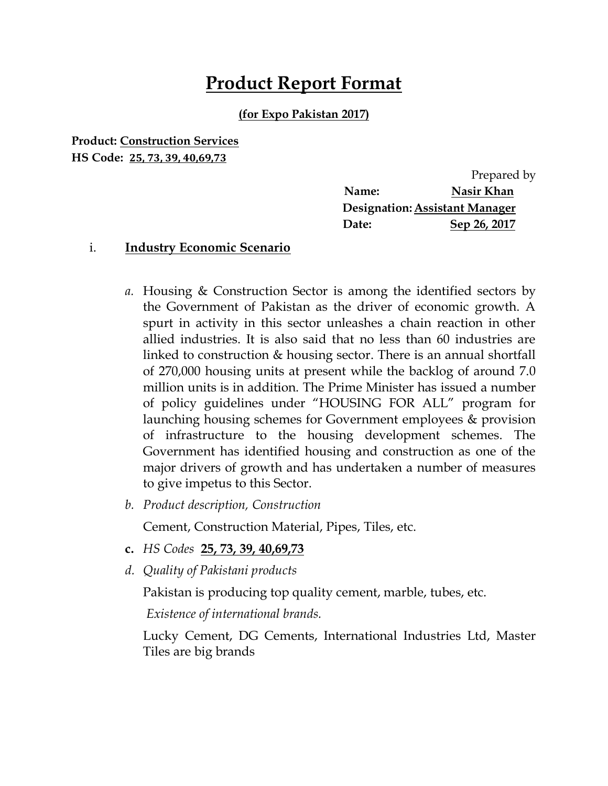# **Product Report Format**

#### **(for Expo Pakistan 2017)**

**Product: Construction Services HS Code: 25, 73, 39, 40,69,73**

|                                       | Prepared by  |  |  |
|---------------------------------------|--------------|--|--|
| Name:                                 | Nasir Khan   |  |  |
| <b>Designation: Assistant Manager</b> |              |  |  |
| Date:                                 | Sep 26, 2017 |  |  |

#### i. **Industry Economic Scenario**

- *a.* Housing & Construction Sector is among the identified sectors by the Government of Pakistan as the driver of economic growth. A spurt in activity in this sector unleashes a chain reaction in other allied industries. It is also said that no less than 60 industries are linked to construction & housing sector. There is an annual shortfall of 270,000 housing units at present while the backlog of around 7.0 million units is in addition. The Prime Minister has issued a number of policy guidelines under "HOUSING FOR ALL" program for launching housing schemes for Government employees & provision of infrastructure to the housing development schemes. The Government has identified housing and construction as one of the major drivers of growth and has undertaken a number of measures to give impetus to this Sector.
- *b. Product description, Construction*

Cement, Construction Material, Pipes, Tiles, etc.

- **c.** *HS Codes* **25, 73, 39, 40,69,73**
- *d. Quality of Pakistani products*

Pakistan is producing top quality cement, marble, tubes, etc.

*Existence of international brands.*

Lucky Cement, DG Cements, International Industries Ltd, Master Tiles are big brands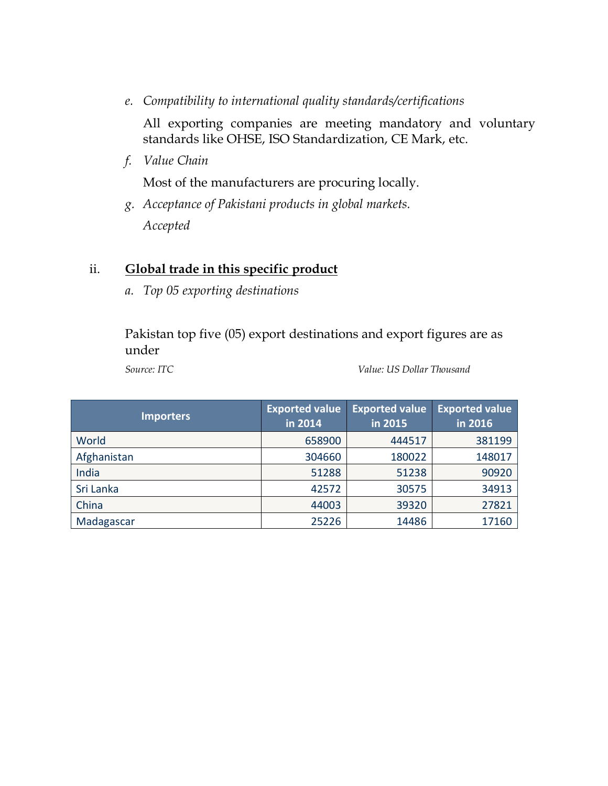*e. Compatibility to international quality standards/certifications*

All exporting companies are meeting mandatory and voluntary standards like OHSE, ISO Standardization, CE Mark, etc.

*f. Value Chain*

Most of the manufacturers are procuring locally.

*g. Acceptance of Pakistani products in global markets. Accepted*

#### ii. **Global trade in this specific product**

*a. Top 05 exporting destinations*

Pakistan top five (05) export destinations and export figures are as under

*Source: ITC Value: US Dollar Thousand*

| <b>Importers</b> | <b>Exported value</b><br>in 2014 | <b>Exported value</b><br>in 2015 | <b>Exported value</b><br>in 2016 |
|------------------|----------------------------------|----------------------------------|----------------------------------|
| World            | 658900                           | 444517                           | 381199                           |
| Afghanistan      | 304660                           | 180022                           | 148017                           |
| India            | 51288                            | 51238                            | 90920                            |
| Sri Lanka        | 42572                            | 30575                            | 34913                            |
| China            | 44003                            | 39320                            | 27821                            |
| Madagascar       | 25226                            | 14486                            | 17160                            |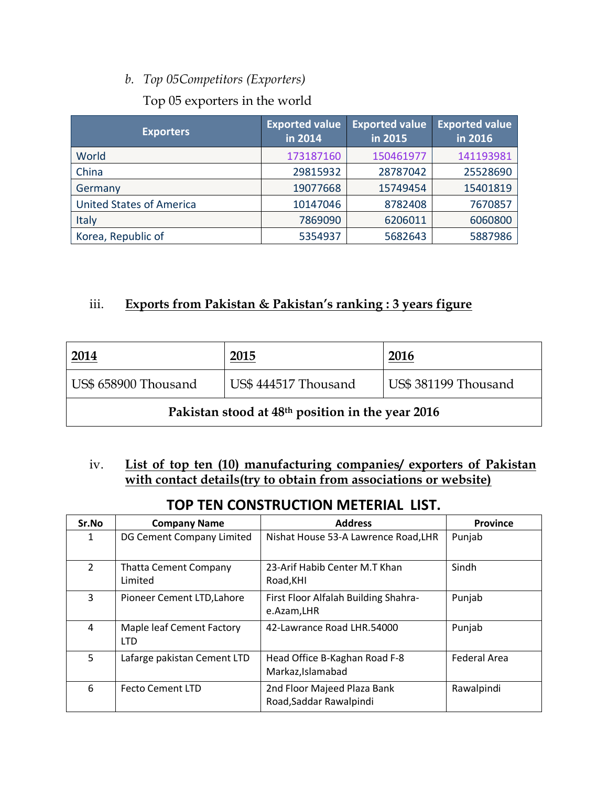## *b. Top 05Competitors (Exporters)*

#### Top 05 exporters in the world

| <b>Exporters</b>                | <b>Exported value</b><br>in 2014 | <b>Exported value</b><br>in 2015 | <b>Exported value</b><br>$\frac{1}{2}$ in 2016 |
|---------------------------------|----------------------------------|----------------------------------|------------------------------------------------|
| World                           | 173187160                        | 150461977                        | 141193981                                      |
| China                           | 29815932                         | 28787042                         | 25528690                                       |
| Germany                         | 19077668                         | 15749454                         | 15401819                                       |
| <b>United States of America</b> | 10147046                         | 8782408                          | 7670857                                        |
| Italy                           | 7869090                          | 6206011                          | 6060800                                        |
| Korea, Republic of              | 5354937                          | 5682643                          | 5887986                                        |

## iii. **Exports from Pakistan & Pakistan's ranking : 3 years figure**

| <u>2014</u>                                                  | 2015                 | 2016                 |  |
|--------------------------------------------------------------|----------------------|----------------------|--|
| US\$ 658900 Thousand                                         | US\$ 444517 Thousand | US\$ 381199 Thousand |  |
| Pakistan stood at 48 <sup>th</sup> position in the year 2016 |                      |                      |  |

### iv. **List of top ten (10) manufacturing companies/ exporters of Pakistan with contact details(try to obtain from associations or website)**

# **TOP TEN CONSTRUCTION METERIAL LIST.**

| Sr.No          | <b>Company Name</b>                     | <b>Address</b>                                         | <b>Province</b>     |
|----------------|-----------------------------------------|--------------------------------------------------------|---------------------|
| 1              | DG Cement Company Limited               | Nishat House 53-A Lawrence Road, LHR                   | Punjab              |
| $\mathfrak{D}$ | <b>Thatta Cement Company</b><br>Limited | 23-Arif Habib Center M.T Khan<br>Road, KHI             | Sindh               |
| 3              | Pioneer Cement LTD, Lahore              | First Floor Alfalah Building Shahra-<br>e.Azam,LHR     | Punjab              |
| 4              | Maple leaf Cement Factory<br><b>LTD</b> | 42-Lawrance Road LHR.54000                             | Punjab              |
| 5.             | Lafarge pakistan Cement LTD             | Head Office B-Kaghan Road F-8<br>Markaz, Islamabad     | <b>Federal Area</b> |
| 6              | <b>Fecto Cement LTD</b>                 | 2nd Floor Majeed Plaza Bank<br>Road, Saddar Rawalpindi | Rawalpindi          |